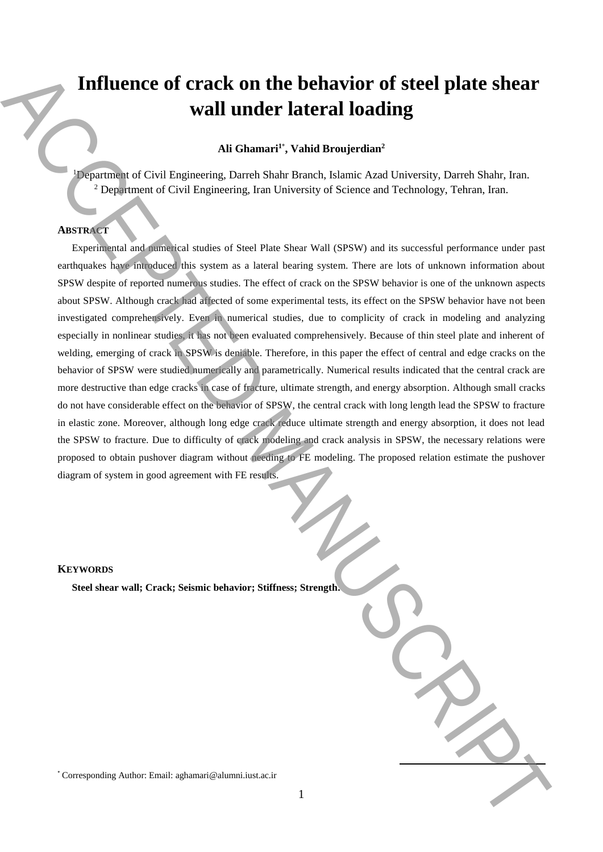# **Influence of crack on the behavior of steel plate shear wall under lateral loading**

# **Ali Ghamari<sup>1</sup>**\* **, Vahid Broujerdian<sup>2</sup>**

<sup>1</sup>Department of Civil Engineering, Darreh Shahr Branch, Islamic Azad University, Darreh Shahr, Iran. <sup>2</sup> Department of Civil Engineering, Iran University of Science and Technology, Tehran, Iran.

## **ABSTRACT**

Experimental and numerical studies of Steel Plate Shear Wall (SPSW) and its successful performance under past earthquakes have introduced this system as a lateral bearing system. There are lots of unknown information about SPSW despite of reported numerous studies. The effect of crack on the SPSW behavior is one of the unknown aspects about SPSW. Although crack had affected of some experimental tests, its effect on the SPSW behavior have not been investigated comprehensively. Even in numerical studies, due to complicity of crack in modeling and analyzing especially in nonlinear studies, it has not been evaluated comprehensively. Because of thin steel plate and inherent of welding, emerging of crack in SPSW is deniable. Therefore, in this paper the effect of central and edge cracks on the behavior of SPSW were studied numerically and parametrically. Numerical results indicated that the central crack are more destructive than edge cracks in case of fracture, ultimate strength, and energy absorption. Although small cracks do not have considerable effect on the behavior of SPSW, the central crack with long length lead the SPSW to fracture in elastic zone. Moreover, although long edge crack reduce ultimate strength and energy absorption, it does not lead the SPSW to fracture. Due to difficulty of crack modeling and crack analysis in SPSW, the necessary relations were proposed to obtain pushover diagram without needing to FE modeling. The proposed relation estimate the pushover diagram of system in good agreement with FE results. **Influence of crack on the behavior of steel plate shear<br>wall under lateral loading<br>Alumnical Corresponding Authorities, and the search share the search share the street of the street share the street share the street sha** 

## **KEYWORDS**

**Steel shear wall; Crack; Seismic behavior; Stiffness; Strength.** 

**.**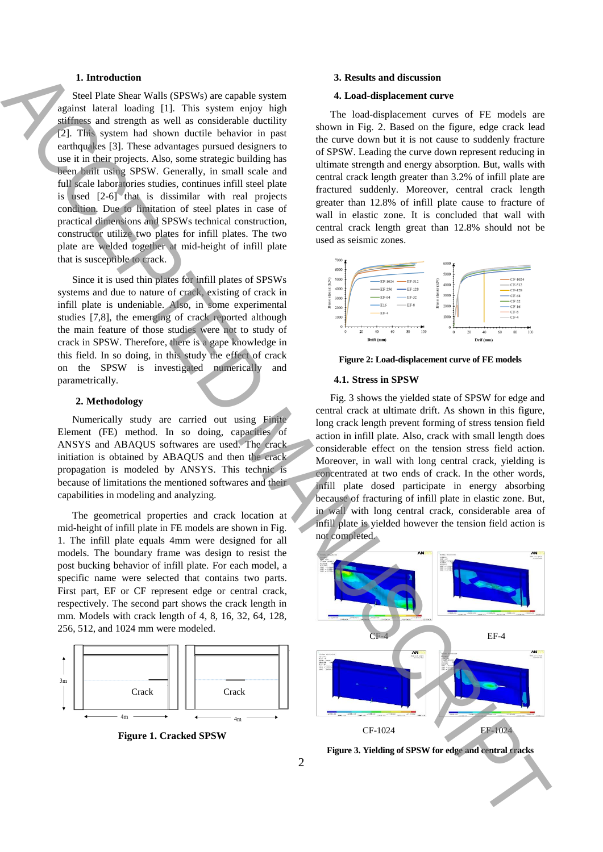## **1. Introduction**

Steel Plate Shear Walls (SPSWs) are capable system against lateral loading [1]. This system enjoy high stiffness and strength as well as considerable ductility [2]. This system had shown ductile behavior in past earthquakes [3]. These advantages pursued designers to use it in their projects. Also, some strategic building has been built using SPSW. Generally, in small scale and full scale laboratories studies, continues infill steel plate is used [2-6] that is dissimilar with real projects condition. Due to limitation of steel plates in case of practical dimensions and SPSWs technical construction, constructor utilize two plates for infill plates. The two plate are welded together at mid-height of infill plate that is susceptible to crack.

Since it is used thin plates for infill plates of SPSWs systems and due to nature of crack, existing of crack in infill plate is undeniable. Also, in some experimental studies [7,8], the emerging of crack reported although the main feature of those studies were not to study of crack in SPSW. Therefore, there is a gape knowledge in this field. In so doing, in this study the effect of crack on the SPSW is investigated numerically and parametrically.

#### **2. Methodology**

Numerically study are carried out using Finite Element (FE) method. In so doing, capacities of ANSYS and ABAQUS softwares are used. The crack initiation is obtained by ABAQUS and then the crack propagation is modeled by ANSYS. This technic is because of limitations the mentioned softwares and their capabilities in modeling and analyzing.

The geometrical properties and crack location at mid-height of infill plate in FE models are shown in Fig. 1. The infill plate equals 4mm were designed for all models. The boundary frame was design to resist the post bucking behavior of infill plate. For each model, a specific name were selected that contains two parts. First part, EF or CF represent edge or central crack, respectively. The second part shows the crack length in mm. Models with crack length of 4, 8, 16, 32, 64, 128, 256, 512, and 1024 mm were modeled.



**Figure 1. Cracked SPSW**

## **3. Results and discussion**

## **4. Load-displacement curve**

The load-displacement curves of FE models are shown in Fig. 2. Based on the figure, edge crack lead the curve down but it is not cause to suddenly fracture of SPSW. Leading the curve down represent reducing in ultimate strength and energy absorption. But, walls with central crack length greater than 3.2% of infill plate are fractured suddenly. Moreover, central crack length greater than 12.8% of infill plate cause to fracture of wall in elastic zone. It is concluded that wall with central crack length great than 12.8% should not be used as seismic zones.



**Figure 2: Load-displacement curve of FE models**

#### **4.1. Stress in SPSW**

Fig. 3 shows the yielded state of SPSW for edge and central crack at ultimate drift. As shown in this figure, long crack length prevent forming of stress tension field action in infill plate. Also, crack with small length does considerable effect on the tension stress field action. Moreover, in wall with long central crack, yielding is concentrated at two ends of crack. In the other words, infill plate dosed participate in energy absorbing because of fracturing of infill plate in elastic zone. But, in wall with long central crack, considerable area of infill plate is yielded however the tension field action is not completed.



**Figure 3. Yielding of SPSW for edge and central cracks**